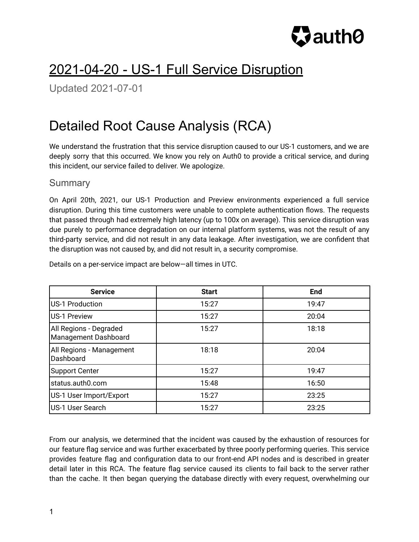

# 2021-04-20 - US-1 Full Service Disruption

Updated 2021-07-01

# Detailed Root Cause Analysis (RCA)

We understand the frustration that this service disruption caused to our US-1 customers, and we are deeply sorry that this occurred. We know you rely on Auth0 to provide a critical service, and during this incident, our service failed to deliver. We apologize.

## **Summary**

On April 20th, 2021, our US-1 Production and Preview environments experienced a full service disruption. During this time customers were unable to complete authentication flows. The requests that passed through had extremely high latency (up to 100x on average). This service disruption was due purely to performance degradation on our internal platform systems, was not the result of any third-party service, and did not result in any data leakage. After investigation, we are confident that the disruption was not caused by, and did not result in, a security compromise.

| <b>Service</b>                                 | <b>Start</b> | <b>End</b> |
|------------------------------------------------|--------------|------------|
| US-1 Production                                | 15:27        | 19:47      |
| US-1 Preview                                   | 15:27        | 20:04      |
| All Regions - Degraded<br>Management Dashboard | 15:27        | 18:18      |
| All Regions - Management<br>Dashboard          | 18:18        | 20:04      |
| <b>Support Center</b>                          | 15:27        | 19:47      |
| status.auth0.com                               | 15:48        | 16:50      |
| US-1 User Import/Export                        | 15:27        | 23:25      |
| US-1 User Search                               | 15:27        | 23:25      |

Details on a per-service impact are below—all times in UTC.

From our analysis, we determined that the incident was caused by the exhaustion of resources for our feature flag service and was further exacerbated by three poorly performing queries. This service provides feature flag and configuration data to our front-end API nodes and is described in greater detail later in this RCA. The feature flag service caused its clients to fail back to the server rather than the cache. It then began querying the database directly with every request, overwhelming our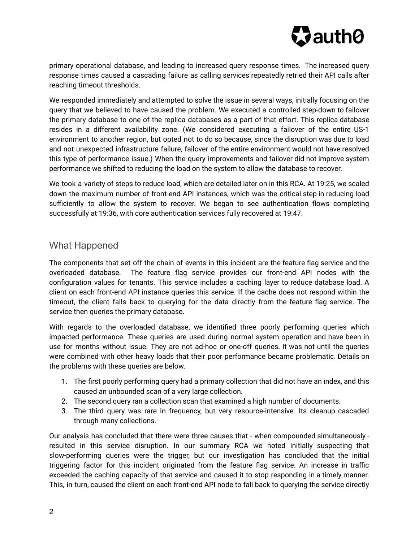

primary operational database, and leading to increased query response times. The increased query response times caused a cascading failure as calling services repeatedly retried their API calls after reaching timeout thresholds.

We responded immediately and attempted to solve the issue in several ways, initially focusing on the query that we believed to have caused the problem. We executed a controlled step-down to failover the primary database to one of the replica databases as a part of that effort. This replica database resides in a different availability zone. (We considered executing a failover of the entire US-1 environment to another region, but opted not to do so because, since the disruption was due to load and not unexpected infrastructure failure, failover of the entire environment would not have resolved this type of performance issue.) When the query improvements and failover did not improve system performance we shifted to reducing the load on the system to allow the database to recover.

We took a variety of steps to reduce load, which are detailed later on in this RCA. At 19:25, we scaled down the maximum number of front-end API instances, which was the critical step in reducing load sufficiently to allow the system to recover. We began to see authentication flows completing successfully at 19:36, with core authentication services fully recovered at 19:47.

## What Happened

The components that set off the chain of events in this incident are the feature flag service and the overloaded database. The feature flag service provides our front-end API nodes with the configuration values for tenants. This service includes a caching layer to reduce database load. A client on each front-end API instance queries this service. If the cache does not respond within the timeout, the client falls back to querying for the data directly from the feature flag service. The service then queries the primary database.

With regards to the overloaded database, we identified three poorly performing queries which impacted performance. These queries are used during normal system operation and have been in use for months without issue. They are not ad-hoc or one-off queries. It was not until the queries were combined with other heavy loads that their poor performance became problematic. Details on the problems with these queries are below.

- 1. The first poorly performing query had a primary collection that did not have an index, and this caused an unbounded scan of a very large collection.
- 2. The second query ran a collection scan that examined a high number of documents.
- 3. The third query was rare in frequency, but very resource-intensive. Its cleanup cascaded through many collections.

Our analysis has concluded that there were three causes that - when compounded simultaneously resulted in this service disruption. In our summary RCA we noted initially suspecting that slow-performing queries were the trigger, but our investigation has concluded that the initial triggering factor for this incident originated from the feature flag service. An increase in traffic exceeded the caching capacity of that service and caused it to stop responding in a timely manner. This, in turn, caused the client on each front-end API node to fall back to querying the service directly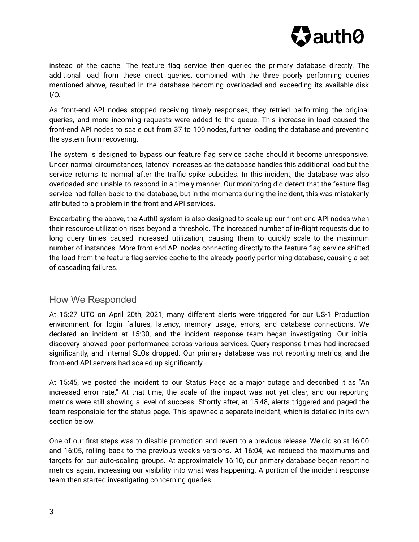

instead of the cache. The feature flag service then queried the primary database directly. The additional load from these direct queries, combined with the three poorly performing queries mentioned above, resulted in the database becoming overloaded and exceeding its available disk I/O.

As front-end API nodes stopped receiving timely responses, they retried performing the original queries, and more incoming requests were added to the queue. This increase in load caused the front-end API nodes to scale out from 37 to 100 nodes, further loading the database and preventing the system from recovering.

The system is designed to bypass our feature flag service cache should it become unresponsive. Under normal circumstances, latency increases as the database handles this additional load but the service returns to normal after the traffic spike subsides. In this incident, the database was also overloaded and unable to respond in a timely manner. Our monitoring did detect that the feature flag service had fallen back to the database, but in the moments during the incident, this was mistakenly attributed to a problem in the front end API services.

Exacerbating the above, the Auth0 system is also designed to scale up our front-end API nodes when their resource utilization rises beyond a threshold. The increased number of in-flight requests due to long query times caused increased utilization, causing them to quickly scale to the maximum number of instances. More front end API nodes connecting directly to the feature flag service shifted the load from the feature flag service cache to the already poorly performing database, causing a set of cascading failures.

## How We Responded

At 15:27 UTC on April 20th, 2021, many different alerts were triggered for our US-1 Production environment for login failures, latency, memory usage, errors, and database connections. We declared an incident at 15:30, and the incident response team began investigating. Our initial discovery showed poor performance across various services. Query response times had increased significantly, and internal SLOs dropped. Our primary database was not reporting metrics, and the front-end API servers had scaled up significantly.

At 15:45, we posted the incident to our Status Page as a major outage and described it as "An increased error rate." At that time, the scale of the impact was not yet clear, and our reporting metrics were still showing a level of success. Shortly after, at 15:48, alerts triggered and paged the team responsible for the status page. This spawned a separate incident, which is detailed in its own section below.

One of our first steps was to disable promotion and revert to a previous release. We did so at 16:00 and 16:05, rolling back to the previous week's versions. At 16:04, we reduced the maximums and targets for our auto-scaling groups. At approximately 16:10, our primary database began reporting metrics again, increasing our visibility into what was happening. A portion of the incident response team then started investigating concerning queries.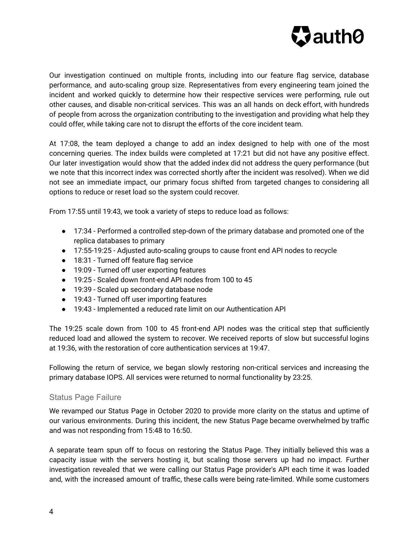

Our investigation continued on multiple fronts, including into our feature flag service, database performance, and auto-scaling group size. Representatives from every engineering team joined the incident and worked quickly to determine how their respective services were performing, rule out other causes, and disable non-critical services. This was an all hands on deck effort, with hundreds of people from across the organization contributing to the investigation and providing what help they could offer, while taking care not to disrupt the efforts of the core incident team.

At 17:08, the team deployed a change to add an index designed to help with one of the most concerning queries. The index builds were completed at 17:21 but did not have any positive effect. Our later investigation would show that the added index did not address the query performance (but we note that this incorrect index was corrected shortly after the incident was resolved). When we did not see an immediate impact, our primary focus shifted from targeted changes to considering all options to reduce or reset load so the system could recover.

From 17:55 until 19:43, we took a variety of steps to reduce load as follows:

- 17:34 Performed a controlled step-down of the primary database and promoted one of the replica databases to primary
- 17:55-19:25 Adjusted auto-scaling groups to cause front end API nodes to recycle
- 18:31 Turned off feature flag service
- 19:09 Turned off user exporting features
- 19:25 Scaled down front-end API nodes from 100 to 45
- 19:39 Scaled up secondary database node
- 19:43 Turned off user importing features
- 19:43 Implemented a reduced rate limit on our Authentication API

The 19:25 scale down from 100 to 45 front-end API nodes was the critical step that sufficiently reduced load and allowed the system to recover. We received reports of slow but successful logins at 19:36, with the restoration of core authentication services at 19:47.

Following the return of service, we began slowly restoring non-critical services and increasing the primary database IOPS. All services were returned to normal functionality by 23:25.

#### Status Page Failure

We revamped our Status Page in October 2020 to provide more clarity on the status and uptime of our various environments. During this incident, the new Status Page became overwhelmed by traffic and was not responding from 15:48 to 16:50.

A separate team spun off to focus on restoring the Status Page. They initially believed this was a capacity issue with the servers hosting it, but scaling those servers up had no impact. Further investigation revealed that we were calling our Status Page provider's API each time it was loaded and, with the increased amount of traffic, these calls were being rate-limited. While some customers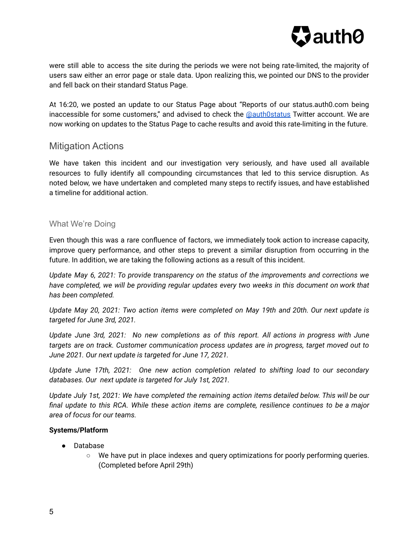

were still able to access the site during the periods we were not being rate-limited, the majority of users saw either an error page or stale data. Upon realizing this, we pointed our DNS to the provider and fell back on their standard Status Page.

At 16:20, we posted an update to our Status Page about "Reports of our status.auth0.com being inaccessible for some customers," and advised to check the [@auth0status](https://twitter.com/auth0status) Twitter account. We are now working on updates to the Status Page to cache results and avoid this rate-limiting in the future.

## Mitigation Actions

We have taken this incident and our investigation very seriously, and have used all available resources to fully identify all compounding circumstances that led to this service disruption. As noted below, we have undertaken and completed many steps to rectify issues, and have established a timeline for additional action.

### What We're Doing

Even though this was a rare confluence of factors, we immediately took action to increase capacity, improve query performance, and other steps to prevent a similar disruption from occurring in the future. In addition, we are taking the following actions as a result of this incident.

*Update May 6, 2021: To provide transparency on the status of the improvements and corrections we have completed, we will be providing regular updates every two weeks in this document on work that has been completed.*

*Update May 20, 2021: Two action items were completed on May 19th and 20th. Our next update is targeted for June 3rd, 2021.*

*Update June 3rd, 2021: No new completions as of this report. All actions in progress with June targets are on track. Customer communication process updates are in progress, target moved out to June 2021. Our next update is targeted for June 17, 2021.*

*Update June 17th, 2021: One new action completion related to shifting load to our secondary databases. Our next update is targeted for July 1st, 2021.*

*Update July 1st, 2021: We have completed the remaining action items detailed below. This will be our final update to this RCA. While these action items are complete, resilience continues to be a major area of focus for our teams.*

#### **Systems/Platform**

- Database
	- We have put in place indexes and query optimizations for poorly performing queries. (Completed before April 29th)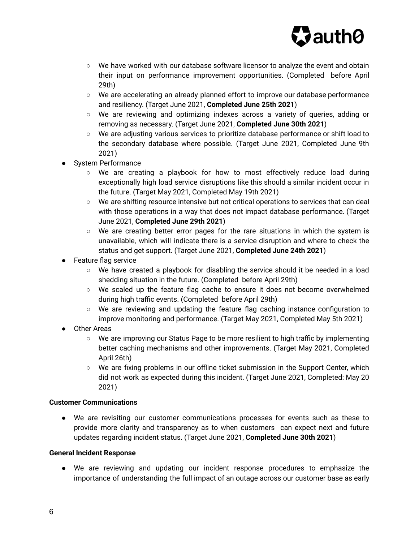

- We have worked with our database software licensor to analyze the event and obtain their input on performance improvement opportunities. (Completed before April 29th)
- We are accelerating an already planned effort to improve our database performance and resiliency. (Target June 2021, **Completed June 25th 2021**)
- We are reviewing and optimizing indexes across a variety of queries, adding or removing as necessary. (Target June 2021, **Completed June 30th 2021**)
- We are adjusting various services to prioritize database performance or shift load to the secondary database where possible. (Target June 2021, Completed June 9th 2021)
- System Performance
	- We are creating a playbook for how to most effectively reduce load during exceptionally high load service disruptions like this should a similar incident occur in the future. (Target May 2021, Completed May 19th 2021)
	- We are shifting resource intensive but not critical operations to services that can deal with those operations in a way that does not impact database performance. (Target June 2021, **Completed June 29th 2021**)
	- We are creating better error pages for the rare situations in which the system is unavailable, which will indicate there is a service disruption and where to check the status and get support. (Target June 2021, **Completed June 24th 2021**)
- Feature flag service
	- We have created a playbook for disabling the service should it be needed in a load shedding situation in the future. (Completed before April 29th)
	- We scaled up the feature flag cache to ensure it does not become overwhelmed during high traffic events. (Completed before April 29th)
	- We are reviewing and updating the feature flag caching instance configuration to improve monitoring and performance. (Target May 2021, Completed May 5th 2021)
- Other Areas
	- We are improving our Status Page to be more resilient to high traffic by implementing better caching mechanisms and other improvements. (Target May 2021, Completed April 26th)
	- We are fixing problems in our offline ticket submission in the Support Center, which did not work as expected during this incident. (Target June 2021, Completed: May 20 2021)

### **Customer Communications**

● We are revisiting our customer communications processes for events such as these to provide more clarity and transparency as to when customers can expect next and future updates regarding incident status. (Target June 2021, **Completed June 30th 2021**)

#### **General Incident Response**

● We are reviewing and updating our incident response procedures to emphasize the importance of understanding the full impact of an outage across our customer base as early